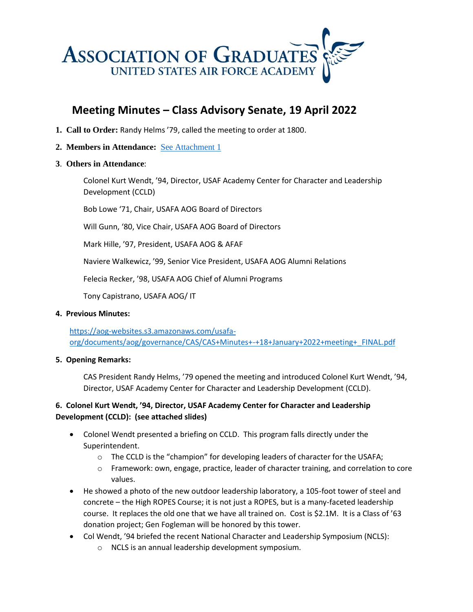

# **Meeting Minutes – Class Advisory Senate, 19 April 2022**

- **1. Call to Order:** Randy Helms '79, called the meeting to order at 1800.
- **2. Members in Attendance:** See [Attachment 1](https://aog-websites.s3.amazonaws.com/usafa-org/documents/aog/governance/CAS/CAS+Attendence+19+Apr+22.pdf)
- **3**. **Others in Attendance**:

Colonel Kurt Wendt, '94, Director, USAF Academy Center for Character and Leadership Development (CCLD)

Bob Lowe '71, Chair, USAFA AOG Board of Directors

Will Gunn, '80, Vice Chair, USAFA AOG Board of Directors

Mark Hille, '97, President, USAFA AOG & AFAF

Naviere Walkewicz, '99, Senior Vice President, USAFA AOG Alumni Relations

Felecia Recker, '98, USAFA AOG Chief of Alumni Programs

Tony Capistrano, USAFA AOG/ IT

#### **4. Previous Minutes:**

[https://aog-websites.s3.amazonaws.com/usafa](https://aog-websites.s3.amazonaws.com/usafa-org/documents/aog/governance/CAS/CAS+Minutes+-+18+January+2022+meeting+_FINAL.pdf)[org/documents/aog/governance/CAS/CAS+Minutes+-+18+January+2022+meeting+\\_FINAL.pdf](https://aog-websites.s3.amazonaws.com/usafa-org/documents/aog/governance/CAS/CAS+Minutes+-+18+January+2022+meeting+_FINAL.pdf)

## **5. Opening Remarks:**

CAS President Randy Helms, '79 opened the meeting and introduced Colonel Kurt Wendt, '94, Director, USAF Academy Center for Character and Leadership Development (CCLD).

# **6. Colonel Kurt Wendt, '94, Director, USAF Academy Center for Character and Leadership Development (CCLD): (see attached slides)**

- Colonel Wendt presented a briefing on CCLD. This program falls directly under the Superintendent.
	- o The CCLD is the "champion" for developing leaders of character for the USAFA;
	- o Framework: own, engage, practice, leader of character training, and correlation to core values.
- He showed a photo of the new outdoor leadership laboratory, a 105-foot tower of steel and concrete – the High ROPES Course; it is not just a ROPES, but is a many-faceted leadership course. It replaces the old one that we have all trained on. Cost is \$2.1M. It is a Class of '63 donation project; Gen Fogleman will be honored by this tower.
- Col Wendt, '94 briefed the recent National Character and Leadership Symposium (NCLS):
	- o NCLS is an annual leadership development symposium.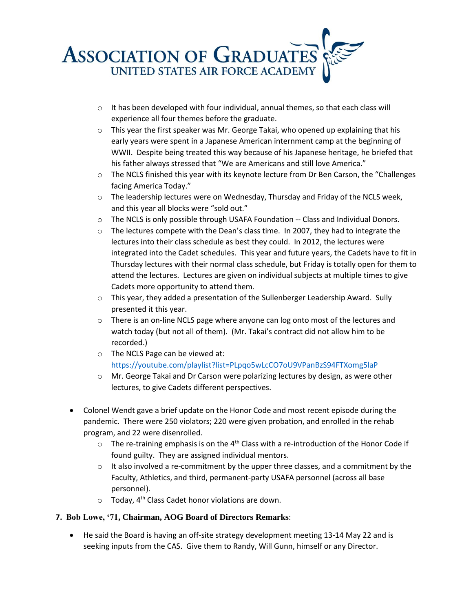

- $\circ$  It has been developed with four individual, annual themes, so that each class will experience all four themes before the graduate.
- $\circ$  This year the first speaker was Mr. George Takai, who opened up explaining that his early years were spent in a Japanese American internment camp at the beginning of WWII. Despite being treated this way because of his Japanese heritage, he briefed that his father always stressed that "We are Americans and still love America."
- $\circ$  The NCLS finished this year with its keynote lecture from Dr Ben Carson, the "Challenges facing America Today."
- $\circ$  The leadership lectures were on Wednesday, Thursday and Friday of the NCLS week, and this year all blocks were "sold out."
- $\circ$  The NCLS is only possible through USAFA Foundation -- Class and Individual Donors.
- $\circ$  The lectures compete with the Dean's class time. In 2007, they had to integrate the lectures into their class schedule as best they could. In 2012, the lectures were integrated into the Cadet schedules. This year and future years, the Cadets have to fit in Thursday lectures with their normal class schedule, but Friday is totally open for them to attend the lectures. Lectures are given on individual subjects at multiple times to give Cadets more opportunity to attend them.
- $\circ$  This year, they added a presentation of the Sullenberger Leadership Award. Sully presented it this year.
- $\circ$  There is an on-line NCLS page where anyone can log onto most of the lectures and watch today (but not all of them). (Mr. Takai's contract did not allow him to be recorded.)
- o The NCLS Page can be viewed at: <https://youtube.com/playlist?list=PLpqo5wLcCO7oU9VPanBzS94FTXomg5laP>
- $\circ$  Mr. George Takai and Dr Carson were polarizing lectures by design, as were other lectures, to give Cadets different perspectives.
- Colonel Wendt gave a brief update on the Honor Code and most recent episode during the pandemic. There were 250 violators; 220 were given probation, and enrolled in the rehab program, and 22 were disenrolled.
	- $\circ$  The re-training emphasis is on the 4<sup>th</sup> Class with a re-introduction of the Honor Code if found guilty. They are assigned individual mentors.
	- $\circ$  It also involved a re-commitment by the upper three classes, and a commitment by the Faculty, Athletics, and third, permanent-party USAFA personnel (across all base personnel).
	- $\circ$  Today, 4<sup>th</sup> Class Cadet honor violations are down.

## **7. Bob Lowe, '71, Chairman, AOG Board of Directors Remarks**:

• He said the Board is having an off-site strategy development meeting 13-14 May 22 and is seeking inputs from the CAS. Give them to Randy, Will Gunn, himself or any Director.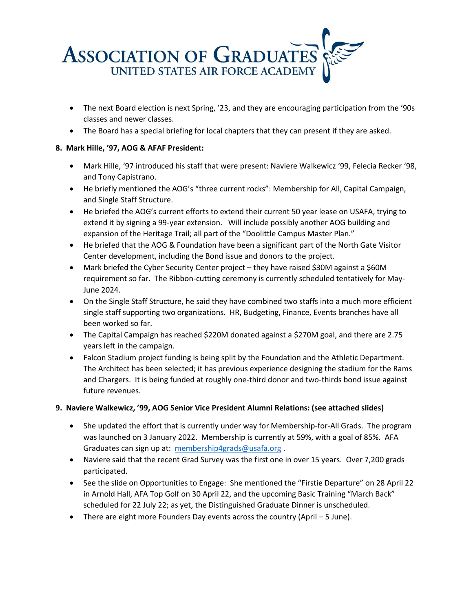

- The next Board election is next Spring, '23, and they are encouraging participation from the '90s classes and newer classes.
- The Board has a special briefing for local chapters that they can present if they are asked.

## **8. Mark Hille, '97, AOG & AFAF President:**

- Mark Hille, '97 introduced his staff that were present: Naviere Walkewicz '99, Felecia Recker '98, and Tony Capistrano.
- He briefly mentioned the AOG's "three current rocks": Membership for All, Capital Campaign, and Single Staff Structure.
- He briefed the AOG's current efforts to extend their current 50 year lease on USAFA, trying to extend it by signing a 99-year extension. Will include possibly another AOG building and expansion of the Heritage Trail; all part of the "Doolittle Campus Master Plan."
- He briefed that the AOG & Foundation have been a significant part of the North Gate Visitor Center development, including the Bond issue and donors to the project.
- Mark briefed the Cyber Security Center project they have raised \$30M against a \$60M requirement so far. The Ribbon-cutting ceremony is currently scheduled tentatively for May-June 2024.
- On the Single Staff Structure, he said they have combined two staffs into a much more efficient single staff supporting two organizations. HR, Budgeting, Finance, Events branches have all been worked so far.
- The Capital Campaign has reached \$220M donated against a \$270M goal, and there are 2.75 years left in the campaign.
- Falcon Stadium project funding is being split by the Foundation and the Athletic Department. The Architect has been selected; it has previous experience designing the stadium for the Rams and Chargers. It is being funded at roughly one-third donor and two-thirds bond issue against future revenues.

## **9. Naviere Walkewicz, '99, AOG Senior Vice President Alumni Relations: (see attached slides)**

- She updated the effort that is currently under way for Membership-for-All Grads. The program was launched on 3 January 2022. Membership is currently at 59%, with a goal of 85%. AFA Graduates can sign up at: [membership4grads@usafa.org](mailto:membership4grads@usafa.org) .
- Naviere said that the recent Grad Survey was the first one in over 15 years. Over 7,200 grads participated.
- See the slide on Opportunities to Engage: She mentioned the "Firstie Departure" on 28 April 22 in Arnold Hall, AFA Top Golf on 30 April 22, and the upcoming Basic Training "March Back" scheduled for 22 July 22; as yet, the Distinguished Graduate Dinner is unscheduled.
- There are eight more Founders Day events across the country (April 5 June).